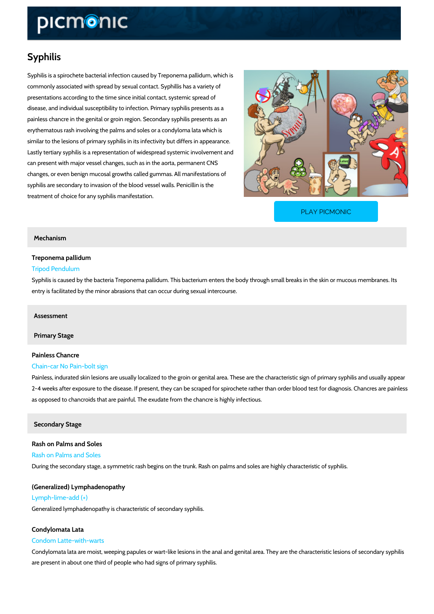# Syphilis

Syphilis is a spirochete bacterial infection caused by Treponema pallidum, which is commonly associated with spread by sexual contact. Syphillis has a variety of presentations according to the time since initial contact, systemic spread of disease, and individual susceptibility to infection. Primary syphilis presents as a painless chancre in the genital or groin region. Secondary syphilis presents as an erythematous rash involving the palms and soles or a condyloma lata which is similar to the lesions of primary syphilis in its infectivity but differs in appearance. Lastly tertiary syphilis is a representation of widespread systemic involvement and can present with major vessel changes, such as in the aorta, permanent CNS changes, or even benign mucosal growths called gummas. All manifestations of syphilis are secondary to invasion of the blood vessel walls. Penicillin is the treatment of choice for any syphilis manifestation.

[PLAY PICMONIC](https://www.picmonic.com/learn/syphilis_2206?utm_source=downloadable_content&utm_medium=distributedcontent&utm_campaign=pathways_pdf&utm_content=Syphilis&utm_ad_group=leads&utm_market=all)

# Mechanism

# Treponema pallidum

#### Tripod Pendulum

Syphilis is caused by the bacteria Treponema pallidum. This bacterium enters the body throug entry is facilitated by the minor abrasions that can occur during sexual intercourse.

# Assessment

Primary Stage

# Painless Chancre Chain-car No Pain-bolt sign

Painless, indurated skin lesions are usually localized to the groin or genital area. These are 2-4 weeks after exposure to the disease. If present, they can be scraped for spirochete rather as opposed to chancroids that are painful. The exudate from the chancre is highly infectious.

# Secondary Stage

Rash on Palms and Soles Rash on Palms and Soles During the secondary stage, a symmetric rash begins on the trunk. Rash on palms and soles a

(Generalized) Lymphadenopathy Lymph-lime-add (+) Generalized lymphadenopathy is characteristic of secondary syphilis.

# Condylomata Lata

#### Condom Latte-with-warts

Condylomata lata are moist, weeping papules or wart-like lesions in the anal and genital area. are present in about one third of people who had signs of primary syphilis.